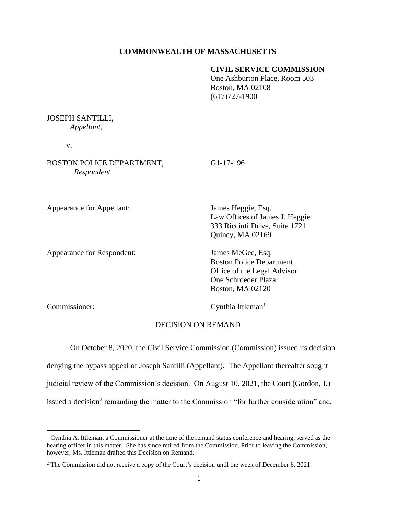#### **COMMONWEALTH OF MASSACHUSETTS**

# **CIVIL SERVICE COMMISSION**

One Ashburton Place, Room 503 Boston, MA 02108 (617)727-1900

## JOSEPH SANTILLI, *Appellant,*

v.

BOSTON POLICE DEPARTMENT, G1-17-196 *Respondent*

Appearance for Appellant: James Heggie, Esq.

Appearance for Respondent: James MeGee, Esq.

Law Offices of James J. Heggie 333 Ricciuti Drive, Suite 1721 Quincy, MA 02169

 Boston Police Department Office of the Legal Advisor One Schroeder Plaza Boston, MA 02120

Commissioner: Cynthia Ittleman<sup>1</sup>

#### DECISION ON REMAND

On October 8, 2020, the Civil Service Commission (Commission) issued its decision

denying the bypass appeal of Joseph Santilli (Appellant). The Appellant thereafter sought

judicial review of the Commission's decision. On August 10, 2021, the Court (Gordon, J.)

issued a decision<sup>2</sup> remanding the matter to the Commission "for further consideration" and,

<sup>&</sup>lt;sup>1</sup> Cynthia A. Ittleman, a Commissioner at the time of the remand status conference and hearing, served as the hearing officer in this matter. She has since retired from the Commission. Prior to leaving the Commission, however, Ms. Ittleman drafted this Decision on Remand.

<sup>2</sup> The Commission did not receive a copy of the Court's decision until the week of December 6, 2021.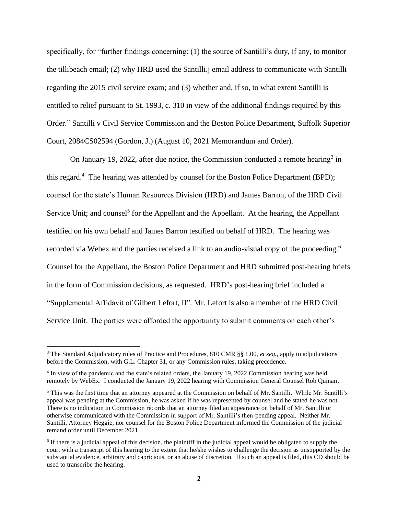specifically, for "further findings concerning: (1) the source of Santilli's duty, if any, to monitor the tillibeach email; (2) why HRD used the Santilli.j email address to communicate with Santilli regarding the 2015 civil service exam; and (3) whether and, if so, to what extent Santilli is entitled to relief pursuant to St. 1993, c. 310 in view of the additional findings required by this Order." Santilli v Civil Service Commission and the Boston Police Department, Suffolk Superior Court, 2084CS02594 (Gordon, J.) (August 10, 2021 Memorandum and Order).

On January 19, 2022, after due notice, the Commission conducted a remote hearing<sup>3</sup> in this regard.<sup>4</sup> The hearing was attended by counsel for the Boston Police Department (BPD); counsel for the state's Human Resources Division (HRD) and James Barron, of the HRD Civil Service Unit; and counsel<sup>5</sup> for the Appellant and the Appellant. At the hearing, the Appellant testified on his own behalf and James Barron testified on behalf of HRD. The hearing was recorded via Webex and the parties received a link to an audio-visual copy of the proceeding.<sup>6</sup> Counsel for the Appellant, the Boston Police Department and HRD submitted post-hearing briefs in the form of Commission decisions, as requested. HRD's post-hearing brief included a "Supplemental Affidavit of Gilbert Lefort, II". Mr. Lefort is also a member of the HRD Civil Service Unit. The parties were afforded the opportunity to submit comments on each other's

<sup>3</sup> The Standard Adjudicatory rules of Practice and Procedures, 810 CMR §§ 1.00, *et seq.*, apply to adjudications before the Commission, with G.L. Chapter 31, or any Commission rules, taking precedence.

<sup>4</sup> In view of the pandemic and the state's related orders, the January 19, 2022 Commission hearing was held remotely by WebEx. I conducted the January 19, 2022 hearing with Commission General Counsel Rob Quinan.

<sup>5</sup> This was the first time that an attorney appeared at the Commission on behalf of Mr. Santilli. While Mr. Santilli's appeal was pending at the Commission, he was asked if he was represented by counsel and he stated he was not. There is no indication in Commission records that an attorney filed an appearance on behalf of Mr. Santilli or otherwise communicated with the Commission in support of Mr. Santilli's then-pending appeal. Neither Mr. Santilli, Attorney Heggie, nor counsel for the Boston Police Department informed the Commission of the judicial remand order until December 2021.

<sup>&</sup>lt;sup>6</sup> If there is a judicial appeal of this decision, the plaintiff in the judicial appeal would be obligated to supply the court with a transcript of this hearing to the extent that he/she wishes to challenge the decision as unsupported by the substantial evidence, arbitrary and capricious, or an abuse of discretion. If such an appeal is filed, this CD should be used to transcribe the hearing.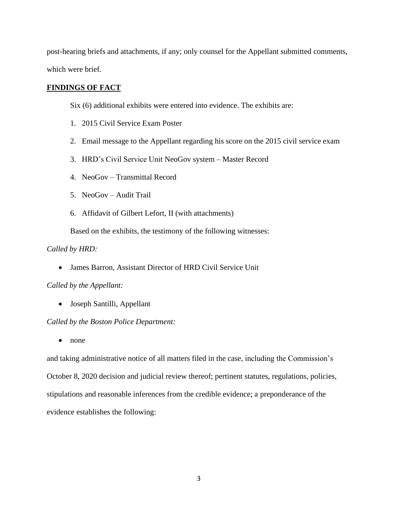post-hearing briefs and attachments, if any; only counsel for the Appellant submitted comments, which were brief.

#### **FINDINGS OF FACT**

Six (6) additional exhibits were entered into evidence. The exhibits are:

- 1. 2015 Civil Service Exam Poster
- 2. Email message to the Appellant regarding his score on the 2015 civil service exam
- 3. HRD's Civil Service Unit NeoGov system Master Record
- 4. NeoGov Transmittal Record
- 5. NeoGov Audit Trail
- 6. Affidavit of Gilbert Lefort, II (with attachments)

Based on the exhibits, the testimony of the following witnesses:

#### *Called by HRD:*

• James Barron, Assistant Director of HRD Civil Service Unit

*Called by the Appellant:*

• Joseph Santilli, Appellant

# *Called by the Boston Police Department:*

• none

and taking administrative notice of all matters filed in the case, including the Commission's October 8, 2020 decision and judicial review thereof; pertinent statutes, regulations, policies, stipulations and reasonable inferences from the credible evidence; a preponderance of the evidence establishes the following: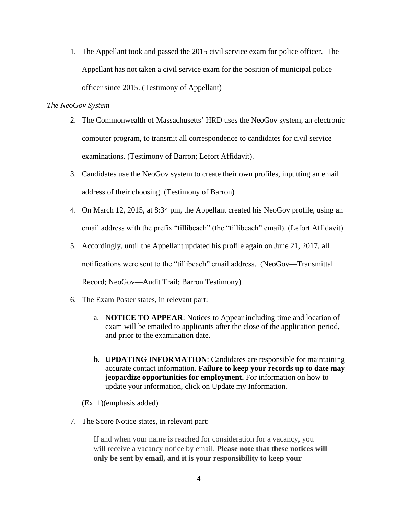1. The Appellant took and passed the 2015 civil service exam for police officer. The Appellant has not taken a civil service exam for the position of municipal police officer since 2015. (Testimony of Appellant)

### *The NeoGov System*

- 2. The Commonwealth of Massachusetts' HRD uses the NeoGov system, an electronic computer program, to transmit all correspondence to candidates for civil service examinations. (Testimony of Barron; Lefort Affidavit).
- 3. Candidates use the NeoGov system to create their own profiles, inputting an email address of their choosing. (Testimony of Barron)
- 4. On March 12, 2015, at 8:34 pm, the Appellant created his NeoGov profile, using an email address with the prefix "tillibeach" (the "tillibeach" email). (Lefort Affidavit)
- 5. Accordingly, until the Appellant updated his profile again on June 21, 2017, all notifications were sent to the "tillibeach" email address. (NeoGov—Transmittal Record; NeoGov—Audit Trail; Barron Testimony)
- 6. The Exam Poster states, in relevant part:
	- a. **NOTICE TO APPEAR**: Notices to Appear including time and location of exam will be emailed to applicants after the close of the application period, and prior to the examination date.
	- **b. UPDATING INFORMATION**: Candidates are responsible for maintaining accurate contact information. **Failure to keep your records up to date may jeopardize opportunities for employment.** For information on how to update your information, click on Update my Information.
	- (Ex. 1)(emphasis added)
- 7. The Score Notice states, in relevant part:

If and when your name is reached for consideration for a vacancy, you will receive a vacancy notice by email. **Please note that these notices will only be sent by email, and it is your responsibility to keep your**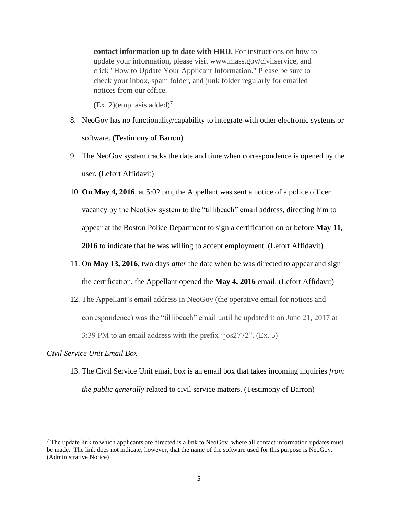**contact information up to date with HRD.** For instructions on how to update your information, please visit www.mass.gov/civilservice, and click "How to Update Your Applicant Information." Please be sure to check your inbox, spam folder, and junk folder regularly for emailed notices from our office.

 $(Ex. 2)(emphasis added)<sup>7</sup>$ 

- 8. NeoGov has no functionality/capability to integrate with other electronic systems or software. (Testimony of Barron)
- 9. The NeoGov system tracks the date and time when correspondence is opened by the user. (Lefort Affidavit)
- 10. **On May 4, 2016**, at 5:02 pm, the Appellant was sent a notice of a police officer vacancy by the NeoGov system to the "tillibeach" email address, directing him to appear at the Boston Police Department to sign a certification on or before **May 11, 2016** to indicate that he was willing to accept employment. (Lefort Affidavit)
- 11. On **May 13, 2016**, two days *after* the date when he was directed to appear and sign the certification, the Appellant opened the **May 4, 2016** email. (Lefort Affidavit)
- 12. The Appellant's email address in NeoGov (the operative email for notices and correspondence) was the "tillibeach" email until he updated it on June 21, 2017 at 3:39 PM to an email address with the prefix "jos2772". (Ex. 5)

#### *Civil Service Unit Email Box*

13. The Civil Service Unit email box is an email box that takes incoming inquiries *from the public generally* related to civil service matters. (Testimony of Barron)

 $^7$  The update link to which applicants are directed is a link to NeoGov, where all contact information updates must be made. The link does not indicate, however, that the name of the software used for this purpose is NeoGov. (Administrative Notice)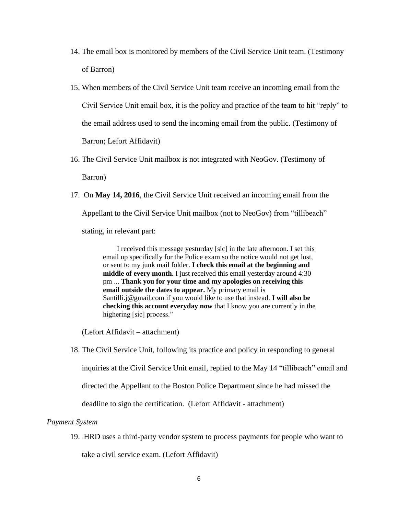- 14. The email box is monitored by members of the Civil Service Unit team. (Testimony of Barron)
- 15. When members of the Civil Service Unit team receive an incoming email from the Civil Service Unit email box, it is the policy and practice of the team to hit "reply" to the email address used to send the incoming email from the public. (Testimony of Barron; Lefort Affidavit)
- 16. The Civil Service Unit mailbox is not integrated with NeoGov. (Testimony of Barron)
- 17. On **May 14, 2016**, the Civil Service Unit received an incoming email from the Appellant to the Civil Service Unit mailbox (not to NeoGov) from "tillibeach" stating, in relevant part:

I received this message yesturday [sic] in the late afternoon. I set this email up specifically for the Police exam so the notice would not get lost, or sent to my junk mail folder. **I check this email at the beginning and middle of every month.** I just received this email yesterday around 4:30 pm ... **Thank you for your time and my apologies on receiving this email outside the dates to appear.** My primary email is Santilli.j@gmail.com if you would like to use that instead. **I will also be checking this account everyday now** that I know you are currently in the highering [sic] process."

(Lefort Affidavit – attachment)

18. The Civil Service Unit, following its practice and policy in responding to general

inquiries at the Civil Service Unit email, replied to the May 14 "tillibeach" email and

directed the Appellant to the Boston Police Department since he had missed the

deadline to sign the certification. (Lefort Affidavit - attachment)

# *Payment System*

19. HRD uses a third-party vendor system to process payments for people who want to

take a civil service exam. (Lefort Affidavit)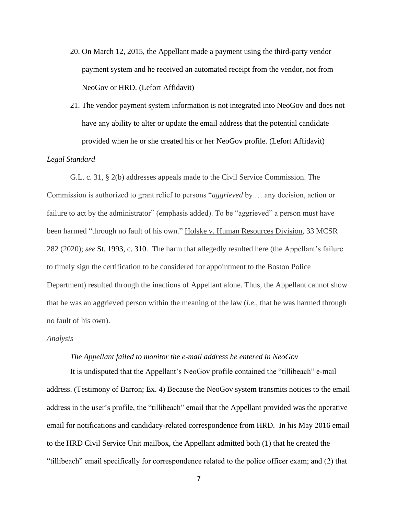- 20. On March 12, 2015, the Appellant made a payment using the third-party vendor payment system and he received an automated receipt from the vendor, not from NeoGov or HRD. (Lefort Affidavit)
- 21. The vendor payment system information is not integrated into NeoGov and does not have any ability to alter or update the email address that the potential candidate provided when he or she created his or her NeoGov profile. (Lefort Affidavit)

#### *Legal Standard*

G.L. c. 31, § 2(b) addresses appeals made to the Civil Service Commission. The Commission is authorized to grant relief to persons "*aggrieved* by … any decision, action or failure to act by the administrator" (emphasis added). To be "aggrieved" a person must have been harmed "through no fault of his own." Holske v. Human Resources Division, 33 MCSR 282 (2020); *see* St. 1993, c. 310. The harm that allegedly resulted here (the Appellant's failure to timely sign the certification to be considered for appointment to the Boston Police Department) resulted through the inactions of Appellant alone. Thus, the Appellant cannot show that he was an aggrieved person within the meaning of the law (*i.e*., that he was harmed through no fault of his own).

#### *Analysis*

#### *The Appellant failed to monitor the e-mail address he entered in NeoGov*

It is undisputed that the Appellant's NeoGov profile contained the "tillibeach" e-mail address. (Testimony of Barron; Ex. 4) Because the NeoGov system transmits notices to the email address in the user's profile, the "tillibeach" email that the Appellant provided was the operative email for notifications and candidacy-related correspondence from HRD. In his May 2016 email to the HRD Civil Service Unit mailbox, the Appellant admitted both (1) that he created the "tillibeach" email specifically for correspondence related to the police officer exam; and (2) that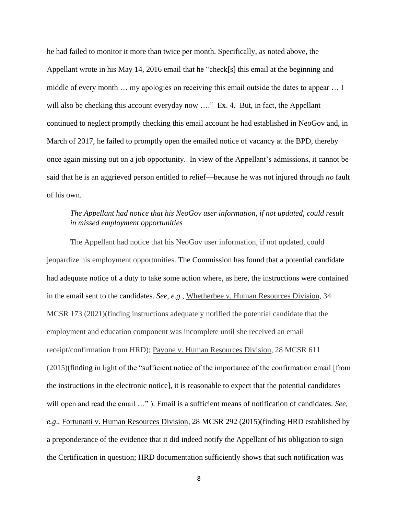he had failed to monitor it more than twice per month. Specifically, as noted above, the Appellant wrote in his May 14, 2016 email that he "check[s] this email at the beginning and middle of every month … my apologies on receiving this email outside the dates to appear … I will also be checking this account everyday now ...." Ex. 4. But, in fact, the Appellant continued to neglect promptly checking this email account he had established in NeoGov and, in March of 2017, he failed to promptly open the emailed notice of vacancy at the BPD, thereby once again missing out on a job opportunity. In view of the Appellant's admissions, it cannot be said that he is an aggrieved person entitled to relief—because he was not injured through *no* fault of his own.

# *The Appellant had notice that his NeoGov user information, if not updated, could result in missed employment opportunities*

The Appellant had notice that his NeoGov user information, if not updated, could jeopardize his employment opportunities. The Commission has found that a potential candidate had adequate notice of a duty to take some action where, as here, the instructions were contained in the email sent to the candidates. *See, e.g.*, Whetherbee v. Human Resources Division, 34 MCSR 173 (2021)(finding instructions adequately notified the potential candidate that the employment and education component was incomplete until she received an email receipt/confirmation from HRD); Pavone v. Human Resources Division*,* 28 MCSR 611 (2015)(finding in light of the "sufficient notice of the importance of the confirmation email [from the instructions in the electronic notice], it is reasonable to expect that the potential candidates will open and read the email …" ). Email is a sufficient means of notification of candidates. *See, e.g*., Fortunatti v. Human Resources Division, 28 MCSR 292 (2015)(finding HRD established by a preponderance of the evidence that it did indeed notify the Appellant of his obligation to sign the Certification in question; HRD documentation sufficiently shows that such notification was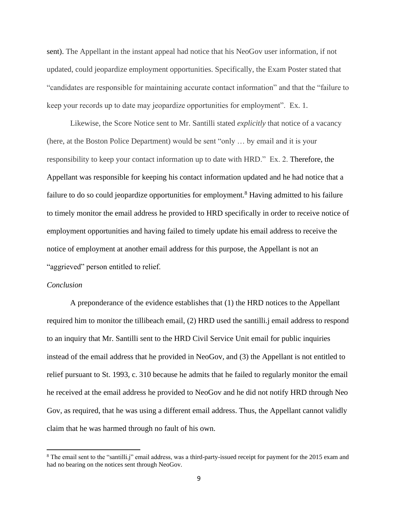sent). The Appellant in the instant appeal had notice that his NeoGov user information, if not updated, could jeopardize employment opportunities. Specifically, the Exam Poster stated that "candidates are responsible for maintaining accurate contact information" and that the "failure to keep your records up to date may jeopardize opportunities for employment". Ex. 1.

Likewise, the Score Notice sent to Mr. Santilli stated *explicitly* that notice of a vacancy (here, at the Boston Police Department) would be sent "only … by email and it is your responsibility to keep your contact information up to date with HRD." Ex. 2. Therefore, the Appellant was responsible for keeping his contact information updated and he had notice that a failure to do so could jeopardize opportunities for employment.<sup>8</sup> Having admitted to his failure to timely monitor the email address he provided to HRD specifically in order to receive notice of employment opportunities and having failed to timely update his email address to receive the notice of employment at another email address for this purpose, the Appellant is not an "aggrieved" person entitled to relief.

#### *Conclusion*

A preponderance of the evidence establishes that (1) the HRD notices to the Appellant required him to monitor the tillibeach email, (2) HRD used the santilli.j email address to respond to an inquiry that Mr. Santilli sent to the HRD Civil Service Unit email for public inquiries instead of the email address that he provided in NeoGov, and (3) the Appellant is not entitled to relief pursuant to St. 1993, c. 310 because he admits that he failed to regularly monitor the email he received at the email address he provided to NeoGov and he did not notify HRD through Neo Gov, as required, that he was using a different email address. Thus, the Appellant cannot validly claim that he was harmed through no fault of his own.

<sup>&</sup>lt;sup>8</sup> The email sent to the "santilli.j" email address, was a third-party-issued receipt for payment for the 2015 exam and had no bearing on the notices sent through NeoGov.